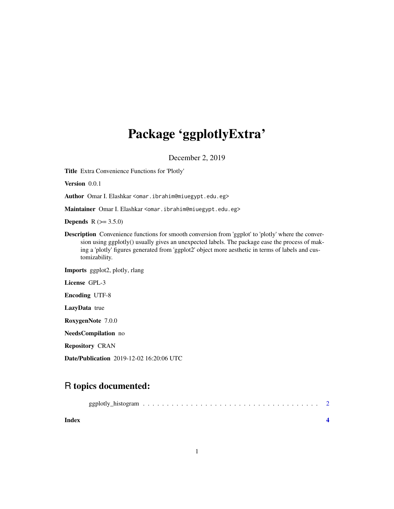## Package 'ggplotlyExtra'

December 2, 2019

<span id="page-0-0"></span>Title Extra Convenience Functions for 'Plotly'

Version 0.0.1

Author Omar I. Elashkar <omar.ibrahim@miuegypt.edu.eg>

Maintainer Omar I. Elashkar <omar.ibrahim@miuegypt.edu.eg>

**Depends**  $R (= 3.5.0)$ 

Description Convenience functions for smooth conversion from 'ggplot' to 'plotly' where the conversion using ggplotly() usually gives an unexpected labels. The package ease the process of making a 'plotly' figures generated from 'ggplot2' object more aesthetic in terms of labels and customizability.

Imports ggplot2, plotly, rlang

License GPL-3

Encoding UTF-8

LazyData true

RoxygenNote 7.0.0

NeedsCompilation no

Repository CRAN

Date/Publication 2019-12-02 16:20:06 UTC

### R topics documented:

| Index |  |  |  |  |  |  |  |  |  |  |  |  |  |
|-------|--|--|--|--|--|--|--|--|--|--|--|--|--|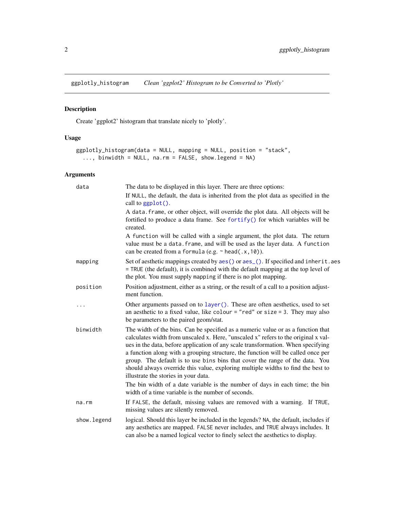<span id="page-1-0"></span>ggplotly\_histogram *Clean 'ggplot2' Histogram to be Converted to 'Plotly'*

#### Description

Create 'ggplot2' histogram that translate nicely to 'plotly'.

#### Usage

```
ggplotly_histogram(data = NULL, mapping = NULL, position = "stack",
  ..., binwidth = NULL, na.rm = FALSE, show.legend = NA)
```
#### Arguments

| data         | The data to be displayed in this layer. There are three options:                                                                                                                                                                                                                                                                                                                                                                                                                                                                                                                                                                           |
|--------------|--------------------------------------------------------------------------------------------------------------------------------------------------------------------------------------------------------------------------------------------------------------------------------------------------------------------------------------------------------------------------------------------------------------------------------------------------------------------------------------------------------------------------------------------------------------------------------------------------------------------------------------------|
|              | If NULL, the default, the data is inherited from the plot data as specified in the<br>call to ggplot().                                                                                                                                                                                                                                                                                                                                                                                                                                                                                                                                    |
|              | A data. frame, or other object, will override the plot data. All objects will be<br>fortified to produce a data frame. See fortify() for which variables will be<br>created.                                                                                                                                                                                                                                                                                                                                                                                                                                                               |
|              | A function will be called with a single argument, the plot data. The return<br>value must be a data. frame, and will be used as the layer data. A function<br>can be created from a formula (e.g. $\sim$ head(.x, 10)).                                                                                                                                                                                                                                                                                                                                                                                                                    |
| mapping      | Set of aesthetic mappings created by aes() or aes_(). If specified and inherit.aes<br>= TRUE (the default), it is combined with the default mapping at the top level of<br>the plot. You must supply mapping if there is no plot mapping.                                                                                                                                                                                                                                                                                                                                                                                                  |
| position     | Position adjustment, either as a string, or the result of a call to a position adjust-<br>ment function.                                                                                                                                                                                                                                                                                                                                                                                                                                                                                                                                   |
| .            | Other arguments passed on to layer (). These are often aesthetics, used to set<br>an aesthetic to a fixed value, like colour = "red" or size = 3. They may also<br>be parameters to the paired geom/stat.                                                                                                                                                                                                                                                                                                                                                                                                                                  |
| binwidth     | The width of the bins. Can be specified as a numeric value or as a function that<br>calculates width from unscaled x. Here, "unscaled x" refers to the original x val-<br>ues in the data, before application of any scale transformation. When specifying<br>a function along with a grouping structure, the function will be called once per<br>group. The default is to use bins bins that cover the range of the data. You<br>should always override this value, exploring multiple widths to find the best to<br>illustrate the stories in your data.<br>The bin width of a date variable is the number of days in each time; the bin |
|              | width of a time variable is the number of seconds.                                                                                                                                                                                                                                                                                                                                                                                                                                                                                                                                                                                         |
| na.rm        | If FALSE, the default, missing values are removed with a warning. If TRUE,<br>missing values are silently removed.                                                                                                                                                                                                                                                                                                                                                                                                                                                                                                                         |
| show. legend | logical. Should this layer be included in the legends? NA, the default, includes if<br>any aesthetics are mapped. FALSE never includes, and TRUE always includes. It<br>can also be a named logical vector to finely select the aesthetics to display.                                                                                                                                                                                                                                                                                                                                                                                     |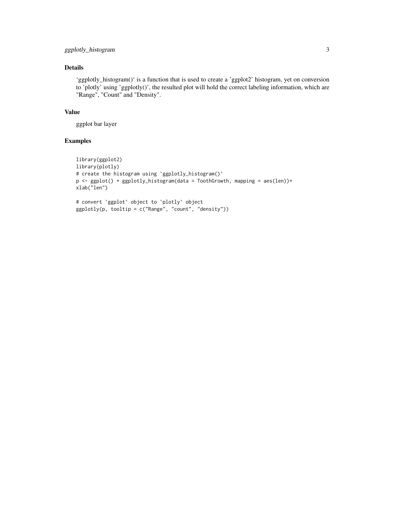#### Details

'ggplotly\_histogram()' is a function that is used to create a 'ggplot2' histogram, yet on conversion to 'plotly' using 'ggplotly()', the resulted plot will hold the correct labeling information, which are "Range", "Count" and "Density".

#### Value

ggplot bar layer

#### Examples

```
library(ggplot2)
library(plotly)
# create the histogram using `ggplotly_histogram()`
p <- ggplot() + ggplotly_histogram(data = ToothGrowth, mapping = aes(len))+
xlab("len")
# convert `ggplot` object to `plotly` object
ggplotly(p, tooltip = c("Range", "count", "density"))
```